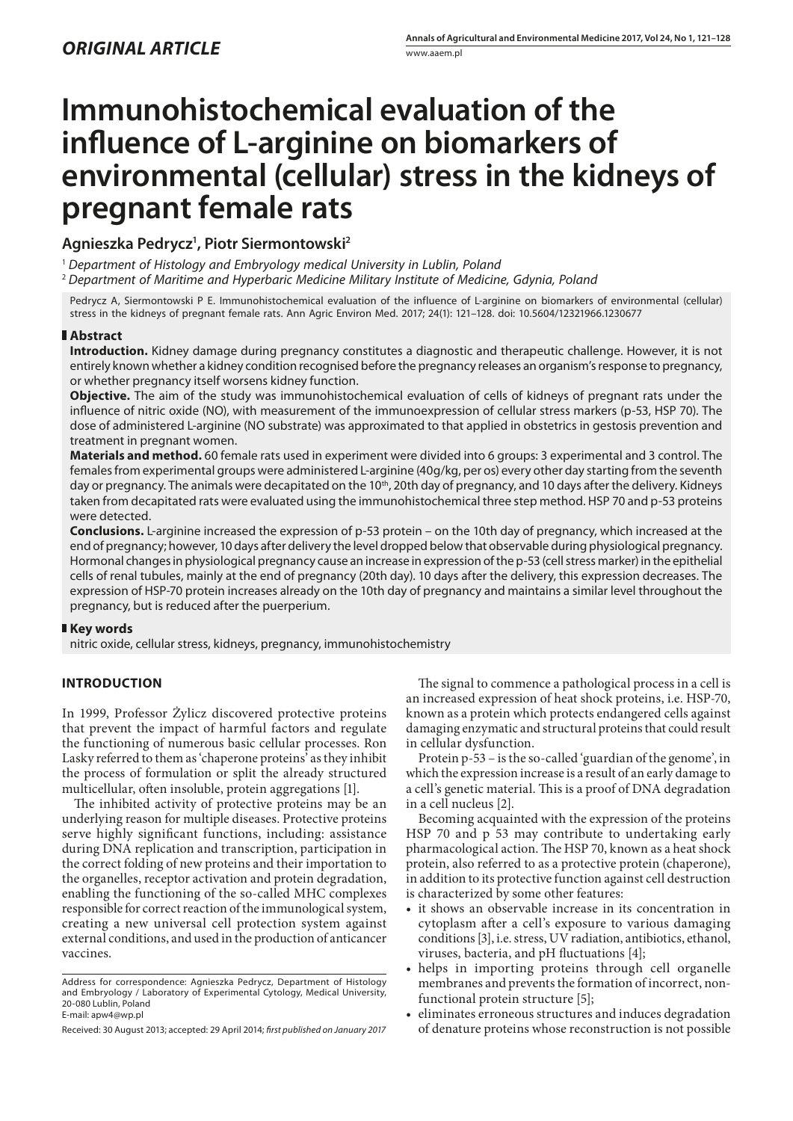# **Immunohistochemical evaluation of the influence of L-arginine on biomarkers of environmental (cellular) stress in the kidneys of pregnant female rats**

# **Agnieszka Pedrycz1 , Piotr Siermontowski2**

<sup>1</sup> *Department of Histology and Embryology medical University in Lublin, Poland*

<sup>2</sup> *Department of Maritime and Hyperbaric Medicine Military Institute of Medicine, Gdynia, Poland*

Pedrycz A, Siermontowski P E. Immunohistochemical evaluation of the influence of L-arginine on biomarkers of environmental (cellular) stress in the kidneys of pregnant female rats. Ann Agric Environ Med. 2017; 24(1): 121–128. doi: 10.5604/12321966.1230677

# **Abstract**

**Introduction.** Kidney damage during pregnancy constitutes a diagnostic and therapeutic challenge. However, it is not entirely known whether a kidney condition recognised before the pregnancy releases an organism's response to pregnancy, or whether pregnancy itself worsens kidney function.

**Objective.** The aim of the study was immunohistochemical evaluation of cells of kidneys of pregnant rats under the influence of nitric oxide (NO), with measurement of the immunoexpression of cellular stress markers (p-53, HSP 70). The dose of administered L-arginine (NO substrate) was approximated to that applied in obstetrics in gestosis prevention and treatment in pregnant women.

**Materials and method.** 60 female rats used in experiment were divided into 6 groups: 3 experimental and 3 control. The females from experimental groups were administered L-arginine (40g/kg, per os) every other day starting from the seventh day or pregnancy. The animals were decapitated on the 10<sup>th</sup>, 20th day of pregnancy, and 10 days after the delivery. Kidneys taken from decapitated rats were evaluated using the immunohistochemical three step method. HSP 70 and p-53 proteins were detected.

**Conclusions.** L-arginine increased the expression of p-53 protein – on the 10th day of pregnancy, which increased at the end of pregnancy; however, 10 days after delivery the level dropped below that observable during physiological pregnancy. Hormonal changes in physiological pregnancy cause an increase in expression of the p-53 (cell stress marker) in the epithelial cells of renal tubules, mainly at the end of pregnancy (20th day). 10 days after the delivery, this expression decreases. The expression of HSP-70 protein increases already on the 10th day of pregnancy and maintains a similar level throughout the pregnancy, but is reduced after the puerperium.

## **Key words**

nitric oxide, cellular stress, kidneys, pregnancy, immunohistochemistry

# **INTRODUCTION**

In 1999, Professor Żylicz discovered protective proteins that prevent the impact of harmful factors and regulate the functioning of numerous basic cellular processes. Ron Lasky referred to them as 'chaperone proteins' as they inhibit the process of formulation or split the already structured multicellular, often insoluble, protein aggregations [1].

The inhibited activity of protective proteins may be an underlying reason for multiple diseases. Protective proteins serve highly significant functions, including: assistance during DNA replication and transcription, participation in the correct folding of new proteins and their importation to the organelles, receptor activation and protein degradation, enabling the functioning of the so-called MHC complexes responsible for correct reaction of the immunological system, creating a new universal cell protection system against external conditions, and used in the production of anticancer vaccines.

The signal to commence a pathological process in a cell is an increased expression of heat shock proteins, i.e. HSP-70, known as a protein which protects endangered cells against damaging enzymatic and structural proteins that could result in cellular dysfunction.

Protein p-53 – is the so-called 'guardian of the genome', in which the expression increase is a result of an early damage to a cell's genetic material. This is a proof of DNA degradation in a cell nucleus [2].

Becoming acquainted with the expression of the proteins HSP 70 and p 53 may contribute to undertaking early pharmacological action. The HSP 70, known as a heat shock protein, also referred to as a protective protein (chaperone), in addition to its protective function against cell destruction is characterized by some other features:

- it shows an observable increase in its concentration in cytoplasm after a cell's exposure to various damaging conditions [3], i.e. stress, UV radiation, antibiotics, ethanol, viruses, bacteria, and pH fluctuations [4];
- • helps in importing proteins through cell organelle membranes and prevents the formation of incorrect, nonfunctional protein structure [5];
- • eliminates erroneous structures and induces degradation of denature proteins whose reconstruction is not possible

Address for correspondence: Agnieszka Pedrycz, Department of Histology and Embryology / Laboratory of Experimental Cytology, Medical University, 20-080 Lublin, Poland E-mail: apw4@wp.pl

Received: 30 August 2013; accepted: 29 April 2014; *first published on January 2017*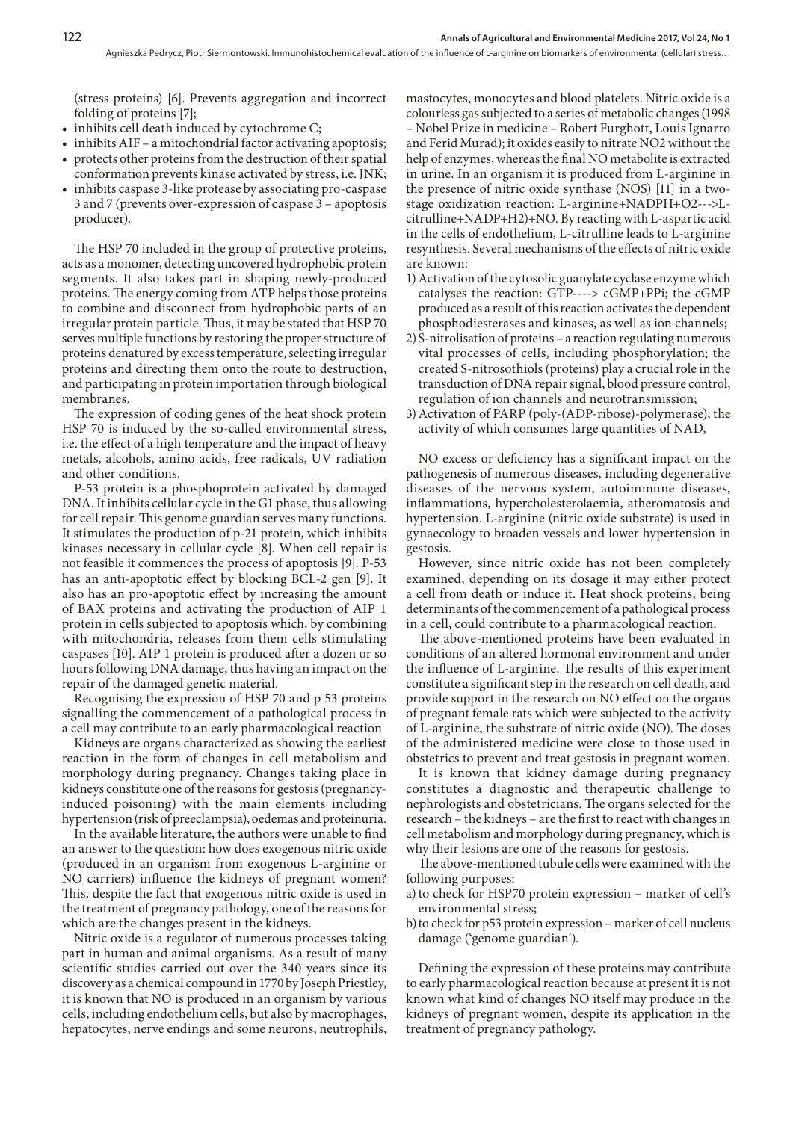(stress proteins) [6]. Prevents aggregation and incorrect folding of proteins [7];

- inhibits cell death induced by cytochrome C;
- inhibits AIF a mitochondrial factor activating apoptosis; • protects other proteins from the destruction of their spatial conformation prevents kinase activated by stress, i.e. JNK;
- inhibits caspase 3-like protease by associating pro-caspase 3 and 7 (prevents over-expression of caspase 3 – apoptosis producer).

The HSP 70 included in the group of protective proteins, acts as a monomer, detecting uncovered hydrophobic protein segments. It also takes part in shaping newly-produced proteins. The energy coming from ATP helps those proteins to combine and disconnect from hydrophobic parts of an irregular protein particle. Thus, it may be stated that HSP 70 serves multiple functions by restoring the proper structure of proteins denatured by excess temperature, selecting irregular proteins and directing them onto the route to destruction, and participating in protein importation through biological membranes.

The expression of coding genes of the heat shock protein HSP 70 is induced by the so-called environmental stress, i.e. the effect of a high temperature and the impact of heavy metals, alcohols, amino acids, free radicals, UV radiation and other conditions.

P-53 protein is a phosphoprotein activated by damaged DNA. It inhibits cellular cycle in the G1 phase, thus allowing for cell repair. This genome guardian serves many functions. It stimulates the production of p-21 protein, which inhibits kinases necessary in cellular cycle [8]. When cell repair is not feasible it commences the process of apoptosis [9]. P-53 has an anti-apoptotic effect by blocking BCL-2 gen [9]. It also has an pro-apoptotic effect by increasing the amount of BAX proteins and activating the production of AIP 1 protein in cells subjected to apoptosis which, by combining with mitochondria, releases from them cells stimulating caspases [10]. AIP 1 protein is produced after a dozen or so hours following DNA damage, thus having an impact on the repair of the damaged genetic material.

Recognising the expression of HSP 70 and p 53 proteins signalling the commencement of a pathological process in a cell may contribute to an early pharmacological reaction

Kidneys are organs characterized as showing the earliest reaction in the form of changes in cell metabolism and morphology during pregnancy. Changes taking place in kidneys constitute one of the reasons for gestosis (pregnancyinduced poisoning) with the main elements including hypertension (risk of preeclampsia), oedemas and proteinuria.

In the available literature, the authors were unable to find an answer to the question: how does exogenous nitric oxide (produced in an organism from exogenous L-arginine or NO carriers) influence the kidneys of pregnant women? This, despite the fact that exogenous nitric oxide is used in the treatment of pregnancy pathology, one of the reasons for which are the changes present in the kidneys.

Nitric oxide is a regulator of numerous processes taking part in human and animal organisms. As a result of many scientific studies carried out over the 340 years since its discovery as a chemical compound in 1770 by Joseph Priestley, it is known that NO is produced in an organism by various cells, including endothelium cells, but also by macrophages, hepatocytes, nerve endings and some neurons, neutrophils,

mastocytes, monocytes and blood platelets. Nitric oxide is a colourless gas subjected to a series of metabolic changes (1998 – Nobel Prize in medicine – Robert Furghott, Louis Ignarro and Ferid Murad); it oxides easily to nitrate NO2 without the help of enzymes, whereas the final NO metabolite is extracted in urine. In an organism it is produced from L-arginine in the presence of nitric oxide synthase (NOS) [11] in a twostage oxidization reaction: L-arginine+NADPH+O2--->Lcitrulline+NADP+H2)+NO. By reacting with L-aspartic acid in the cells of endothelium, L-citrulline leads to L-arginine resynthesis. Several mechanisms of the effects of nitric oxide are known:

- 1)Activation of the cytosolic guanylate cyclase enzyme which catalyses the reaction: GTP----> cGMP+PPi; the cGMP produced as a result of this reaction activates the dependent phosphodiesterases and kinases, as well as ion channels;
- 2)S-nitrolisation of proteins a reaction regulating numerous vital processes of cells, including phosphorylation; the created S-nitrosothiols (proteins) play a crucial role in the transduction of DNA repair signal, blood pressure control, regulation of ion channels and neurotransmission;
- 3)Activation of PARP (poly-(ADP-ribose)-polymerase), the activity of which consumes large quantities of NAD,

NO excess or deficiency has a significant impact on the pathogenesis of numerous diseases, including degenerative diseases of the nervous system, autoimmune diseases, inflammations, hypercholesterolaemia, atheromatosis and hypertension. L-arginine (nitric oxide substrate) is used in gynaecology to broaden vessels and lower hypertension in gestosis.

However, since nitric oxide has not been completely examined, depending on its dosage it may either protect a cell from death or induce it. Heat shock proteins, being determinants of the commencement of a pathological process in a cell, could contribute to a pharmacological reaction.

The above-mentioned proteins have been evaluated in conditions of an altered hormonal environment and under the influence of L-arginine. The results of this experiment constitute a significant step in the research on cell death, and provide support in the research on NO effect on the organs of pregnant female rats which were subjected to the activity of L-arginine, the substrate of nitric oxide (NO). The doses of the administered medicine were close to those used in obstetrics to prevent and treat gestosis in pregnant women.

It is known that kidney damage during pregnancy constitutes a diagnostic and therapeutic challenge to nephrologists and obstetricians. The organs selected for the research – the kidneys – are the first to react with changes in cell metabolism and morphology during pregnancy, which is why their lesions are one of the reasons for gestosis.

The above-mentioned tubule cells were examined with the following purposes:

- a) to check for HSP70 protein expression marker of cell's environmental stress;
- b)to check for p53 protein expression marker of cell nucleus damage ('genome guardian').

Defining the expression of these proteins may contribute to early pharmacological reaction because at present it is not known what kind of changes NO itself may produce in the kidneys of pregnant women, despite its application in the treatment of pregnancy pathology.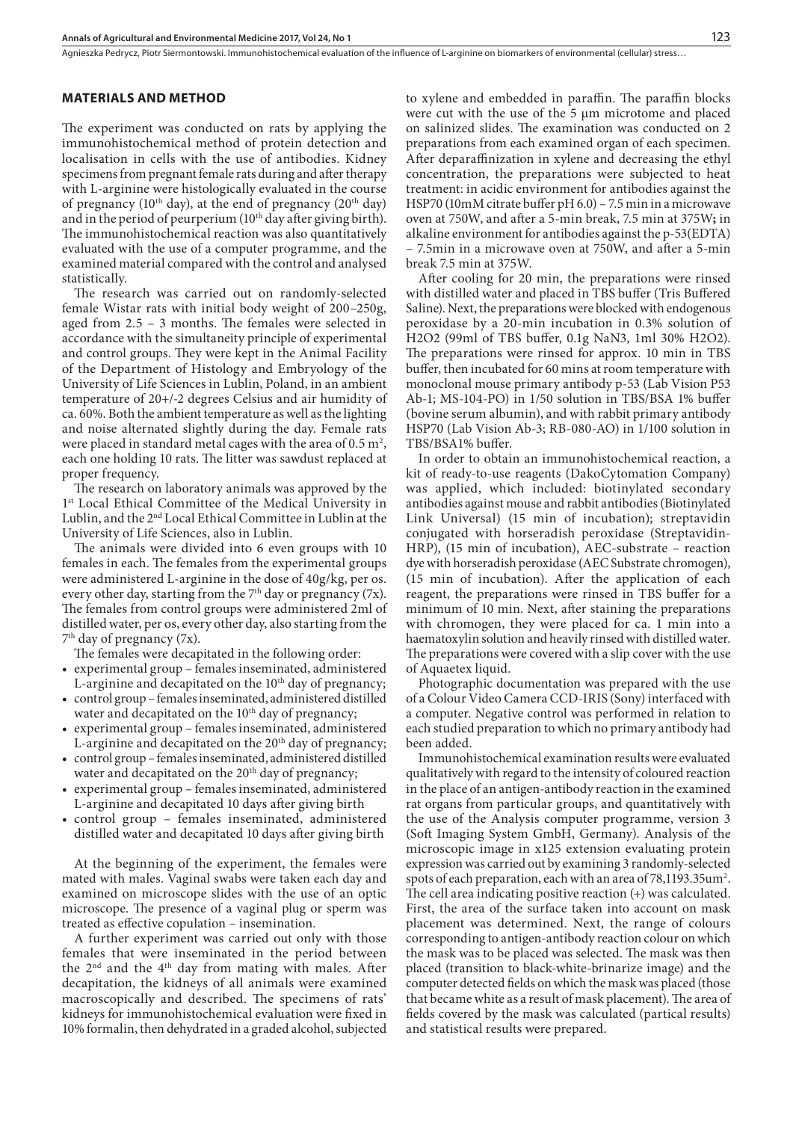Agnieszka Pedrycz, Piotr Siermontowski . Immunohistochemical evaluation of the influence of L-arginine on biomarkers of environmental (cellular) stress…

#### **MATERIALS AND METHOD**

The experiment was conducted on rats by applying the immunohistochemical method of protein detection and localisation in cells with the use of antibodies. Kidney specimens from pregnant female rats during and after therapy with L-arginine were histologically evaluated in the course of pregnancy ( $10<sup>th</sup>$  day), at the end of pregnancy ( $20<sup>th</sup>$  day) and in the period of peurperium  $(10<sup>th</sup>$  day after giving birth). The immunohistochemical reaction was also quantitatively evaluated with the use of a computer programme, and the examined material compared with the control and analysed statistically.

The research was carried out on randomly-selected female Wistar rats with initial body weight of 200–250g, aged from 2.5 – 3 months. The females were selected in accordance with the simultaneity principle of experimental and control groups. They were kept in the Animal Facility of the Department of Histology and Embryology of the University of Life Sciences in Lublin, Poland, in an ambient temperature of 20+/-2 degrees Celsius and air humidity of ca. 60%. Both the ambient temperature as well as the lighting and noise alternated slightly during the day. Female rats were placed in standard metal cages with the area of 0.5  $\mathrm{m}^2$ , each one holding 10 rats. The litter was sawdust replaced at proper frequency.

The research on laboratory animals was approved by the 1<sup>st</sup> Local Ethical Committee of the Medical University in Lublin, and the 2nd Local Ethical Committee in Lublin at the University of Life Sciences, also in Lublin.

The animals were divided into 6 even groups with 10 females in each. The females from the experimental groups were administered L-arginine in the dose of 40g/kg, per os. every other day, starting from the  $7<sup>th</sup>$  day or pregnancy (7x). The females from control groups were administered 2ml of distilled water, per os, every other day, also starting from the 7th day of pregnancy (7x).

The females were decapitated in the following order:

- experimental group females inseminated, administered L-arginine and decapitated on the  $10<sup>th</sup>$  day of pregnancy;
- control group females inseminated, administered distilled water and decapitated on the 10<sup>th</sup> day of pregnancy;
- experimental group females inseminated, administered L-arginine and decapitated on the 20<sup>th</sup> day of pregnancy;
- • control group females inseminated, administered distilled water and decapitated on the 20<sup>th</sup> day of pregnancy;
- experimental group females inseminated, administered L-arginine and decapitated 10 days after giving birth
- control group females inseminated, administered distilled water and decapitated 10 days after giving birth

At the beginning of the experiment, the females were mated with males. Vaginal swabs were taken each day and examined on microscope slides with the use of an optic microscope. The presence of a vaginal plug or sperm was treated as effective copulation – insemination.

A further experiment was carried out only with those females that were inseminated in the period between the 2nd and the 4th day from mating with males. After decapitation, the kidneys of all animals were examined macroscopically and described. The specimens of rats' kidneys for immunohistochemical evaluation were fixed in 10% formalin, then dehydrated in a graded alcohol, subjected to xylene and embedded in paraffin. The paraffin blocks were cut with the use of the 5 μm microtome and placed on salinized slides. The examination was conducted on 2 preparations from each examined organ of each specimen. After deparaffinization in xylene and decreasing the ethyl concentration, the preparations were subjected to heat treatment: in acidic environment for antibodies against the HSP70 (10mM citrate buffer pH 6.0) – 7.5 min in a microwave oven at 750W, and after a 5-min break, 7.5 min at 375W**;** in alkaline environment for antibodies against the p-53(EDTA) – 7.5min in a microwave oven at 750W, and after a 5-min break 7.5 min at 375W.

After cooling for 20 min, the preparations were rinsed with distilled water and placed in TBS buffer (Tris Buffered Saline). Next, the preparations were blocked with endogenous peroxidase by a 20-min incubation in 0.3% solution of H2O2 (99ml of TBS buffer, 0.1g NaN3, 1ml 30% H2O2). The preparations were rinsed for approx. 10 min in TBS buffer, then incubated for 60 mins at room temperature with monoclonal mouse primary antibody p-53 (Lab Vision P53 Ab-1; MS-104-PO) in 1/50 solution in TBS/BSA 1% buffer (bovine serum albumin), and with rabbit primary antibody HSP70 (Lab Vision Ab-3; RB-080-AO) in 1/100 solution in TBS/BSA1% buffer.

In order to obtain an immunohistochemical reaction, a kit of ready-to-use reagents (DakoCytomation Company) was applied, which included: biotinylated secondary antibodies against mouse and rabbit antibodies (Biotinylated Link Universal) (15 min of incubation); streptavidin conjugated with horseradish peroxidase (Streptavidin-HRP), (15 min of incubation), AEC-substrate – reaction dye with horseradish peroxidase (AEC Substrate chromogen), (15 min of incubation). After the application of each reagent, the preparations were rinsed in TBS buffer for a minimum of 10 min. Next, after staining the preparations with chromogen, they were placed for ca. 1 min into a haematoxylin solution and heavily rinsed with distilled water. The preparations were covered with a slip cover with the use of Aquaetex liquid.

Photographic documentation was prepared with the use of a Colour Video Camera CCD-IRIS (Sony) interfaced with a computer. Negative control was performed in relation to each studied preparation to which no primary antibody had been added.

Immunohistochemical examination results were evaluated qualitatively with regard to the intensity of coloured reaction in the place of an antigen-antibody reaction in the examined rat organs from particular groups, and quantitatively with the use of the Analysis computer programme, version 3 (Soft Imaging System GmbH, Germany). Analysis of the microscopic image in x125 extension evaluating protein expression was carried out by examining 3 randomly-selected spots of each preparation, each with an area of 78,1193.35um<sup>2</sup>. The cell area indicating positive reaction (+) was calculated. First, the area of the surface taken into account on mask placement was determined. Next, the range of colours corresponding to antigen-antibody reaction colour on which the mask was to be placed was selected. The mask was then placed (transition to black-white-brinarize image) and the computer detected fields on which the mask was placed (those that became white as a result of mask placement). The area of fields covered by the mask was calculated (partical results) and statistical results were prepared.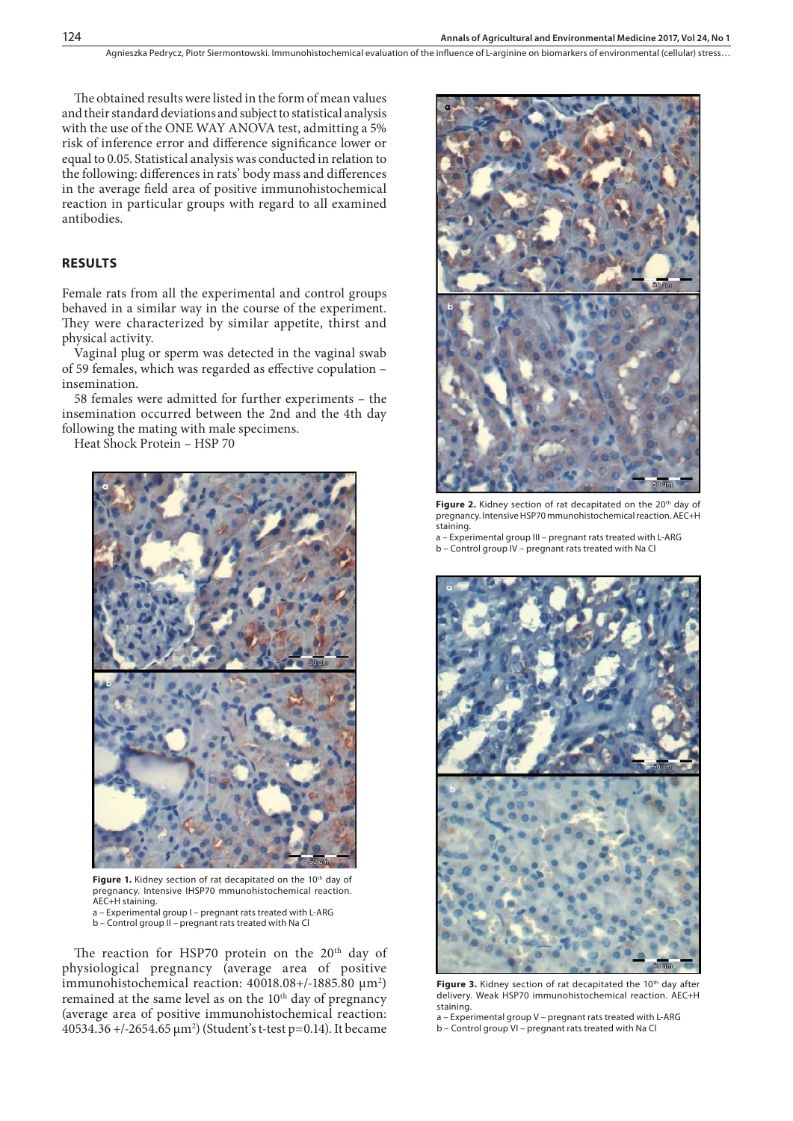Agnieszka Pedrycz, Piotr Siermontowski, Immunohistochemical evaluation of the influence of L-arginine on biomarkers of environmental (cellular) stress...

The obtained results were listed in the form of mean values and their standard deviations and subject to statistical analysis with the use of the ONE WAY ANOVA test, admitting a 5% risk of inference error and difference significance lower or equal to 0.05. Statistical analysis was conducted in relation to the following: differences in rats' body mass and differences in the average field area of positive immunohistochemical reaction in particular groups with regard to all examined antibodies.

### **RESULTS**

Female rats from all the experimental and control groups behaved in a similar way in the course of the experiment. They were characterized by similar appetite, thirst and physical activity.

Vaginal plug or sperm was detected in the vaginal swab of 59 females, which was regarded as effective copulation – insemination.

58 females were admitted for further experiments – the insemination occurred between the 2nd and the 4th day following the mating with male specimens.

Heat Shock Protein – HSP 70



Figure 1. Kidney section of rat decapitated on the 10<sup>th</sup> day of pregnancy. Intensive IHSP70 mmunohistochemical reaction. AEC+H staining. a – Experimental group I – pregnant rats treated with L-ARG

b – Control group II – pregnant rats treated with Na Cl

The reaction for HSP70 protein on the 20<sup>th</sup> day of physiological pregnancy (average area of positive immunohistochemical reaction: 40018.08+/-1885.80 μm<sup>2</sup>) remained at the same level as on the 10<sup>th</sup> day of pregnancy (average area of positive immunohistochemical reaction: 40534.36 +/-2654.65 μm2 ) (Student's t-test p=0.14). It became



Figure 2. Kidney section of rat decapitated on the 20<sup>th</sup> day of pregnancy. Intensive HSP70 mmunohistochemical reaction. AEC+H staining.

a – Experimental group III – pregnant rats treated with L-ARG b – Control group IV – pregnant rats treated with Na Cl



Figure 3. Kidney section of rat decapitated the 10<sup>th</sup> day after delivery. Weak HSP70 immunohistochemical reaction. AEC+H staining.

a – Experimental group V – pregnant rats treated with L-ARG b – Control group VI – pregnant rats treated with Na Cl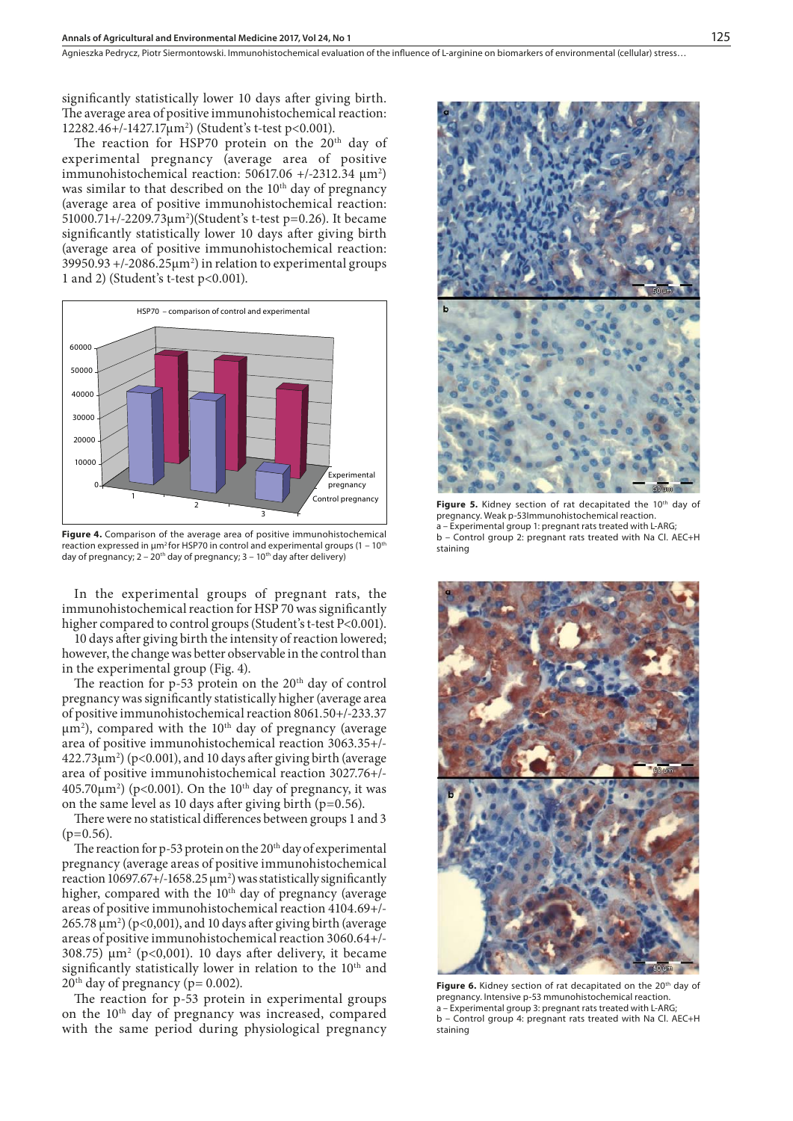Agnieszka Pedrycz, Piotr Siermontowski . Immunohistochemical evaluation of the influence of L-arginine on biomarkers of environmental (cellular) stress…

significantly statistically lower 10 days after giving birth. The average area of positive immunohistochemical reaction: 12282.46+/-1427.17μm2 ) (Student's t-test p<0.001).

The reaction for HSP70 protein on the 20<sup>th</sup> day of experimental pregnancy (average area of positive immunohistochemical reaction: 50617.06 +/-2312.34  $\mu$ m<sup>2</sup>) was similar to that described on the 10<sup>th</sup> day of pregnancy (average area of positive immunohistochemical reaction: 51000.71+/-2209.73μm2 )(Student's t-test p=0.26). It became significantly statistically lower 10 days after giving birth (average area of positive immunohistochemical reaction:  $39950.93 + (-2086.25 \mu m^2)$  in relation to experimental groups 1 and 2) (Student's t-test p<0.001).



**Figure 4.** Comparison of the average area of positive immunohistochemical reaction expressed in  $\mu$ m<sup>2</sup> for HSP70 in control and experimental groups (1 – 10<sup>th</sup> day of pregnancy;  $2 - 20$ <sup>th</sup> day of pregnancy;  $3 - 10$ <sup>th</sup> day after delivery)

In the experimental groups of pregnant rats, the immunohistochemical reaction for HSP 70 was significantly higher compared to control groups (Student's t-test P<0.001).

10 days after giving birth the intensity of reaction lowered; however, the change was better observable in the control than in the experimental group (Fig. 4).

The reaction for  $p-53$  protein on the  $20<sup>th</sup>$  day of control pregnancy was significantly statistically higher (average area of positive immunohistochemical reaction 8061.50+/-233.37  $\mu$ m<sup>2</sup>), compared with the 10<sup>th</sup> day of pregnancy (average area of positive immunohistochemical reaction 3063.35+/-  $422.73\mu m^2$ ) (p<0.001), and 10 days after giving birth (average area of positive immunohistochemical reaction 3027.76+/- 405.70 $\mu$ m<sup>2</sup>) (p<0.001). On the 10<sup>th</sup> day of pregnancy, it was on the same level as 10 days after giving birth ( $p=0.56$ ).

There were no statistical differences between groups 1 and 3 (p=0.56).

The reaction for p-53 protein on the 20<sup>th</sup> day of experimental pregnancy (average areas of positive immunohistochemical reaction  $10697.67+/-1658.25 \,\mu m^2$ ) was statistically significantly higher, compared with the 10<sup>th</sup> day of pregnancy (average areas of positive immunohistochemical reaction 4104.69+/-  $265.78 \,\mathrm{\upmu m^2}$ ) (p<0,001), and 10 days after giving birth (average areas of positive immunohistochemical reaction 3060.64+/- 308.75)  $\mu$ m<sup>2</sup> (p<0,001). 10 days after delivery, it became significantly statistically lower in relation to the 10<sup>th</sup> and  $20^{\text{th}}$  day of pregnancy (p= 0.002).

The reaction for p-53 protein in experimental groups on the 10th day of pregnancy was increased, compared with the same period during physiological pregnancy



Figure 5. Kidney section of rat decapitated the 10<sup>th</sup> day of pregnancy. Weak p-53Immunohistochemical reaction. Experimental group 1: pregnant rats treated with L-ARG; b – Control group 2: pregnant rats treated with Na Cl. AEC+H staining



Figure 6. Kidney section of rat decapitated on the 20<sup>th</sup> day of pregnancy. Intensive p-53 mmunohistochemical reaction. Experimental group 3: pregnant rats treated with L-ARG b – Control group 4: pregnant rats treated with Na Cl. AEC+H staining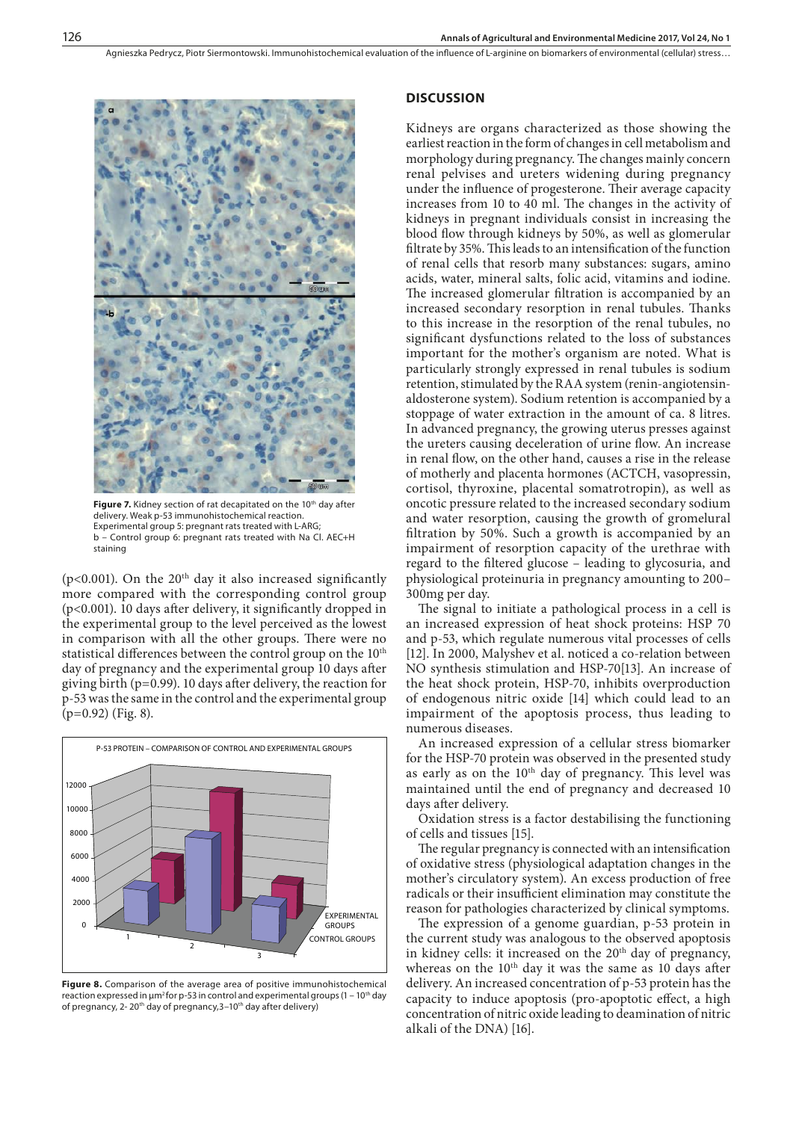

Figure 7. Kidney section of rat decapitated on the 10<sup>th</sup> day after delivery. Weak p-53 immunohistochemical reaction. Experimental group 5: pregnant rats treated with L-ARG; b – Control group 6: pregnant rats treated with Na Cl. AEC+H staining

( $p$ <0.001). On the 20<sup>th</sup> day it also increased significantly more compared with the corresponding control group (p<0.001). 10 days after delivery, it significantly dropped in the experimental group to the level perceived as the lowest in comparison with all the other groups. There were no statistical differences between the control group on the 10<sup>th</sup> day of pregnancy and the experimental group 10 days after giving birth (p=0.99). 10 days after delivery, the reaction for p-53 was the same in the control and the experimental group (p=0.92) (Fig. 8).



**Figure 8.** Comparison of the average area of positive immunohistochemical reaction expressed in  $\mu$ m<sup>2</sup> for p-53 in control and experimental groups (1 – 10<sup>th</sup> day of pregnancy, 2- 20<sup>th</sup> day of pregnancy, 3-10<sup>th</sup> day after delivery)

#### **DISCUSSION**

Kidneys are organs characterized as those showing the earliest reaction in the form of changes in cell metabolism and morphology during pregnancy. The changes mainly concern renal pelvises and ureters widening during pregnancy under the influence of progesterone. Their average capacity increases from 10 to 40 ml. The changes in the activity of kidneys in pregnant individuals consist in increasing the blood flow through kidneys by 50%, as well as glomerular filtrate by 35%. This leads to an intensification of the function of renal cells that resorb many substances: sugars, amino acids, water, mineral salts, folic acid, vitamins and iodine. The increased glomerular filtration is accompanied by an increased secondary resorption in renal tubules. Thanks to this increase in the resorption of the renal tubules, no significant dysfunctions related to the loss of substances important for the mother's organism are noted. What is particularly strongly expressed in renal tubules is sodium retention, stimulated by the RAA system (renin-angiotensinaldosterone system). Sodium retention is accompanied by a stoppage of water extraction in the amount of ca. 8 litres. In advanced pregnancy, the growing uterus presses against the ureters causing deceleration of urine flow. An increase in renal flow, on the other hand, causes a rise in the release of motherly and placenta hormones (ACTCH, vasopressin, cortisol, thyroxine, placental somatrotropin), as well as oncotic pressure related to the increased secondary sodium and water resorption, causing the growth of gromelural filtration by 50%. Such a growth is accompanied by an impairment of resorption capacity of the urethrae with regard to the filtered glucose – leading to glycosuria, and physiological proteinuria in pregnancy amounting to 200– 300mg per day.

The signal to initiate a pathological process in a cell is an increased expression of heat shock proteins: HSP 70 and p-53, which regulate numerous vital processes of cells [12]. In 2000, Malyshev et al. noticed a co-relation between NO synthesis stimulation and HSP-70[13]. An increase of the heat shock protein, HSP-70, inhibits overproduction of endogenous nitric oxide [14] which could lead to an impairment of the apoptosis process, thus leading to numerous diseases.

An increased expression of a cellular stress biomarker for the HSP-70 protein was observed in the presented study as early as on the 10<sup>th</sup> day of pregnancy. This level was maintained until the end of pregnancy and decreased 10 days after delivery.

Oxidation stress is a factor destabilising the functioning of cells and tissues [15].

The regular pregnancy is connected with an intensification of oxidative stress (physiological adaptation changes in the mother's circulatory system). An excess production of free radicals or their insufficient elimination may constitute the reason for pathologies characterized by clinical symptoms.

The expression of a genome guardian, p-53 protein in the current study was analogous to the observed apoptosis in kidney cells: it increased on the  $20<sup>th</sup>$  day of pregnancy, whereas on the 10<sup>th</sup> day it was the same as 10 days after delivery. An increased concentration of p-53 protein has the capacity to induce apoptosis (pro-apoptotic effect, a high concentration of nitric oxide leading to deamination of nitric alkali of the DNA) [16].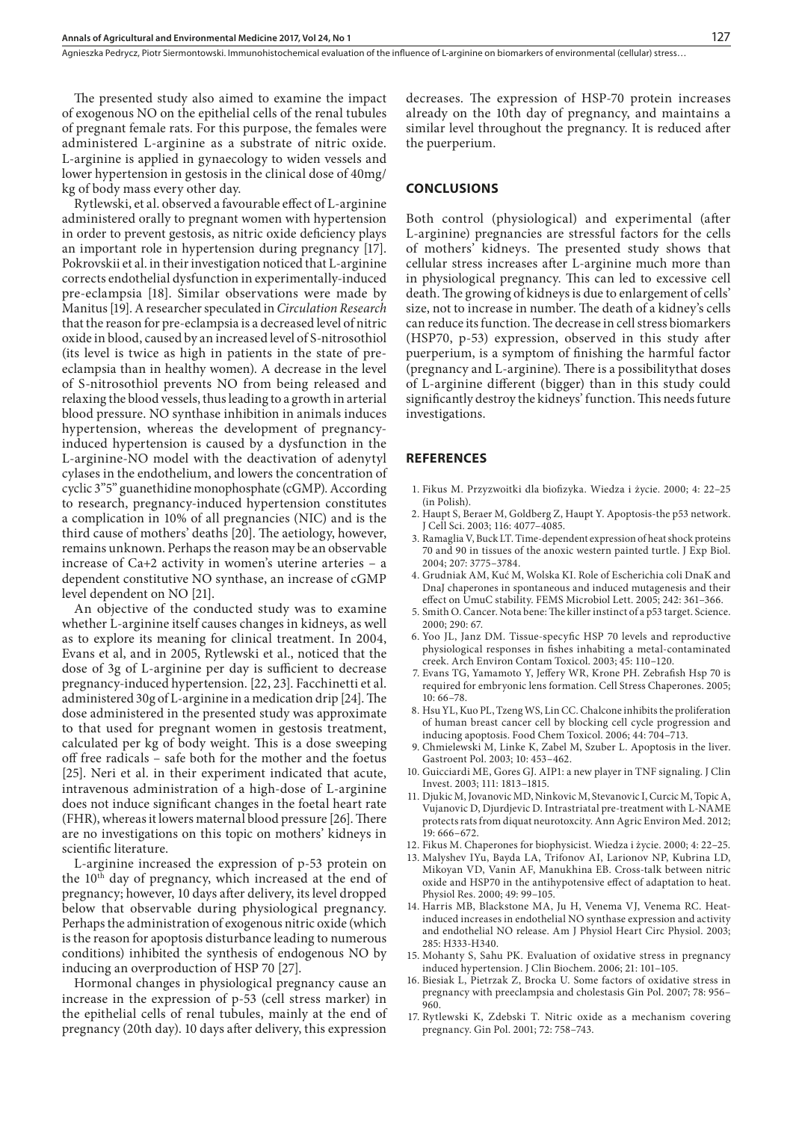Agnieszka Pedrycz, Piotr Siermontowski . Immunohistochemical evaluation of the influence of L-arginine on biomarkers of environmental (cellular) stress…

The presented study also aimed to examine the impact of exogenous NO on the epithelial cells of the renal tubules of pregnant female rats. For this purpose, the females were administered L-arginine as a substrate of nitric oxide. L-arginine is applied in gynaecology to widen vessels and lower hypertension in gestosis in the clinical dose of 40mg/ kg of body mass every other day.

Rytlewski, et al. observed a favourable effect of L-arginine administered orally to pregnant women with hypertension in order to prevent gestosis, as nitric oxide deficiency plays an important role in hypertension during pregnancy [17]. Pokrovskii et al. in their investigation noticed that L-arginine corrects endothelial dysfunction in experimentally-induced pre-eclampsia [18]. Similar observations were made by Manitus [19]. A researcher speculated in *Circulation Research* that the reason for pre-eclampsia is a decreased level of nitric oxide in blood, caused by an increased level of S-nitrosothiol (its level is twice as high in patients in the state of preeclampsia than in healthy women). A decrease in the level of S-nitrosothiol prevents NO from being released and relaxing the blood vessels, thus leading to a growth in arterial blood pressure. NO synthase inhibition in animals induces hypertension, whereas the development of pregnancyinduced hypertension is caused by a dysfunction in the L-arginine-NO model with the deactivation of adenytyl cylases in the endothelium, and lowers the concentration of cyclic 3"5" guanethidine monophosphate (cGMP). According to research, pregnancy-induced hypertension constitutes a complication in 10% of all pregnancies (NIC) and is the third cause of mothers' deaths [20]. The aetiology, however, remains unknown. Perhaps the reason may be an observable increase of Ca+2 activity in women's uterine arteries – a dependent constitutive NO synthase, an increase of cGMP level dependent on NO [21].

An objective of the conducted study was to examine whether L-arginine itself causes changes in kidneys, as well as to explore its meaning for clinical treatment. In 2004, Evans et al, and in 2005, Rytlewski et al., noticed that the dose of 3g of L-arginine per day is sufficient to decrease pregnancy-induced hypertension. [22, 23]. Facchinetti et al. administered 30g of L-arginine in a medication drip [24]. The dose administered in the presented study was approximate to that used for pregnant women in gestosis treatment, calculated per kg of body weight. This is a dose sweeping off free radicals – safe both for the mother and the foetus [25]. Neri et al. in their experiment indicated that acute, intravenous administration of a high-dose of L-arginine does not induce significant changes in the foetal heart rate (FHR), whereas it lowers maternal blood pressure [26]. There are no investigations on this topic on mothers' kidneys in scientific literature.

L-arginine increased the expression of p-53 protein on the 10th day of pregnancy, which increased at the end of pregnancy; however, 10 days after delivery, its level dropped below that observable during physiological pregnancy. Perhaps the administration of exogenous nitric oxide (which is the reason for apoptosis disturbance leading to numerous conditions) inhibited the synthesis of endogenous NO by inducing an overproduction of HSP 70 [27].

Hormonal changes in physiological pregnancy cause an increase in the expression of p-53 (cell stress marker) in the epithelial cells of renal tubules, mainly at the end of pregnancy (20th day). 10 days after delivery, this expression decreases. The expression of HSP-70 protein increases already on the 10th day of pregnancy, and maintains a similar level throughout the pregnancy. It is reduced after the puerperium.

#### **CONCLUSIONS**

Both control (physiological) and experimental (after L-arginine) pregnancies are stressful factors for the cells of mothers' kidneys. The presented study shows that cellular stress increases after L-arginine much more than in physiological pregnancy. This can led to excessive cell death. The growing of kidneys is due to enlargement of cells' size, not to increase in number. The death of a kidney's cells can reduce its function. The decrease in cell stress biomarkers (HSP70, p-53) expression, observed in this study after puerperium, is a symptom of finishing the harmful factor (pregnancy and L-arginine). There is a possibilitythat doses of L-arginine different (bigger) than in this study could significantly destroy the kidneys' function. This needs future investigations.

#### **REFERENCES**

- 1. Fikus M. Przyzwoitki dla biofizyka. Wiedza i życie. 2000; 4: 22–25 (in Polish).
- 2. Haupt S, Beraer M, Goldberg Z, Haupt Y. Apoptosis-the p53 network. J Cell Sci. 2003; 116: 4077–4085.
- 3. Ramaglia V, Buck LT. Time-dependent expression of heat shock proteins 70 and 90 in tissues of the anoxic western painted turtle. J Exp Biol. 2004; 207: 3775–3784.
- 4. [Grudniak AM,](http://www.ncbi.nlm.nih.gov/pubmed?term=Grudniak AM%5BAuthor%5D&cauthor=true&cauthor_uid=15621460) Kuć M, [Wolska KI.](http://www.ncbi.nlm.nih.gov/pubmed?term=Wolska KI%5BAuthor%5D&cauthor=true&cauthor_uid=15621460) Role of Escherichia coli DnaK and DnaJ chaperones in spontaneous and induced mutagenesis and their effect on UmuC stability. [FEMS Microbiol Lett.](http://www.ncbi.nlm.nih.gov/pubmed/15621460) 2005; 242: 361–366.
- 5. [Smith O.](http://www.ncbi.nlm.nih.gov/pubmed?term=Smith O%5BAuthor%5D&cauthor=true&cauthor_uid=11183152) Cancer. Nota bene: The killer instinct of a p53 target. [Science.](http://www.ncbi.nlm.nih.gov/pubmed/?term=The+killer+instinct+of+a+p�53+target) 2000; 290: 67.
- 6. Yoo JL, Janz DM. Tissue-specyfic HSP 70 levels and reproductive physiological responses in fishes inhabiting a metal-contaminated creek. Arch Environ Contam Toxicol. 2003; 45: 110–120.
- 7. Evans TG, Yamamoto Y, Jeffery WR, Krone PH. Zebrafish Hsp 70 is required for embryonic lens formation. Cell Stress Chaperones. 2005; 10: 66–78.
- 8. Hsu YL, Kuo PL, Tzeng WS, Lin CC. [Chalcone inhibits the proliferation](http://www.ncbi.nlm.nih.gov/pubmed/16307839)  [of human breast cancer cell by blocking cell cycle progression and](http://www.ncbi.nlm.nih.gov/pubmed/16307839)  [inducing apoptosis.](http://www.ncbi.nlm.nih.gov/pubmed/16307839) Food Chem Toxicol. 2006; 44: 704–713.
- 9. Chmielewski M, Linke K, Zabel M, Szuber L. Apoptosis in the liver. Gastroent Pol. 2003; 10: 453–462.
- 10. Guicciardi ME, Gores GJ. AIP1: a new player in TNF signaling. J Clin Invest. 2003; 111: 1813–1815.
- 11. [Djukic M](http://www.ncbi.nlm.nih.gov/pubmed?term=Djukic M%5BAuthor%5D&cauthor=true&cauthor_uid=23311786), [Jovanovic MD](http://www.ncbi.nlm.nih.gov/pubmed?term=Jovanovic MD%5BAuthor%5D&cauthor=true&cauthor_uid=23311786), [Ninkovic M,](http://www.ncbi.nlm.nih.gov/pubmed?term=Ninkovic M%5BAuthor%5D&cauthor=true&cauthor_uid=23311786) [Stevanovic I](http://www.ncbi.nlm.nih.gov/pubmed?term=Stevanovic I%5BAuthor%5D&cauthor=true&cauthor_uid=23311786), [Curcic M](http://www.ncbi.nlm.nih.gov/pubmed?term=Curcic M%5BAuthor%5D&cauthor=true&cauthor_uid=23311786), [Topic A,](http://www.ncbi.nlm.nih.gov/pubmed?term=Topic A%5BAuthor%5D&cauthor=true&cauthor_uid=23311786) [Vujanovic D](http://www.ncbi.nlm.nih.gov/pubmed?term=Vujanovic D%5BAuthor%5D&cauthor=true&cauthor_uid=23311786), [Djurdjevic D](http://www.ncbi.nlm.nih.gov/pubmed?term=Djurdjevic D%5BAuthor%5D&cauthor=true&cauthor_uid=23311786). Intrastriatal pre-treatment with L-NAME protects rats from diquat neurotoxcity. [Ann Agric Environ Med.](http://www.ncbi.nlm.nih.gov/pubmed/23311786) 2012; 19: 666–672.
- 12. Fikus M. Chaperones for biophysicist. Wiedza i życie. 2000; 4: 22–25.
- 13. [Malyshev IYu,](http://www.ncbi.nlm.nih.gov/pubmed?term=Malyshev IYu%5BAuthor%5D&cauthor=true&cauthor_uid=10805410) [Bayda LA,](http://www.ncbi.nlm.nih.gov/pubmed?term=Bayda LA%5BAuthor%5D&cauthor=true&cauthor_uid=10805410) [Trifonov AI](http://www.ncbi.nlm.nih.gov/pubmed?term=Trifonov AI%5BAuthor%5D&cauthor=true&cauthor_uid=10805410), [Larionov NP](http://www.ncbi.nlm.nih.gov/pubmed?term=Larionov NP%5BAuthor%5D&cauthor=true&cauthor_uid=10805410), [Kubrina LD,](http://www.ncbi.nlm.nih.gov/pubmed?term=Kubrina LD%5BAuthor%5D&cauthor=true&cauthor_uid=10805410) [Mikoyan VD,](http://www.ncbi.nlm.nih.gov/pubmed?term=Mikoyan VD%5BAuthor%5D&cauthor=true&cauthor_uid=10805410) [Vanin AF,](http://www.ncbi.nlm.nih.gov/pubmed?term=Vanin AF%5BAuthor%5D&cauthor=true&cauthor_uid=10805410) [Manukhina EB](http://www.ncbi.nlm.nih.gov/pubmed?term=Manukhina EB%5BAuthor%5D&cauthor=true&cauthor_uid=10805410). Cross-talk between nitric oxide and HSP70 in the antihypotensive effect of adaptation to heat. [Physiol Res.](http://www.ncbi.nlm.nih.gov/pubmed/?term=Malyshev+YU%2C+Bayda+LA++Cross-Talk+Between+nitric+Oxide+and+Hsp+70+in+the+Antihypotensive+effect+of+adaptation+to+heat.Physiol+Res.+49%3B+99-105%2C+2000) 2000; 49: 99–105.
- 14. [Harris MB,](http://www.ncbi.nlm.nih.gov/pubmed?term=Harris MB%5BAuthor%5D&cauthor=true&cauthor_uid=12663266) [Blackstone MA,](http://www.ncbi.nlm.nih.gov/pubmed?term=Blackstone MA%5BAuthor%5D&cauthor=true&cauthor_uid=12663266) [Ju H](http://www.ncbi.nlm.nih.gov/pubmed?term=Ju H%5BAuthor%5D&cauthor=true&cauthor_uid=12663266), [Venema VJ](http://www.ncbi.nlm.nih.gov/pubmed?term=Venema VJ%5BAuthor%5D&cauthor=true&cauthor_uid=12663266), [Venema RC.](http://www.ncbi.nlm.nih.gov/pubmed?term=Venema RC%5BAuthor%5D&cauthor=true&cauthor_uid=12663266) Heatinduced increases in endothelial NO synthase expression and activity and endothelial NO release. [Am J Physiol Heart Circ Physiol.](http://www.ncbi.nlm.nih.gov/pubmed/?term=Harris+MB++Heat+induced+increases+in+endothelial+nitric+oxide+synthase+expression+and+activity+and+endothelial+NO+release.+AmJ+Physiol+Heart+Circ+Physiol%2C+285%3B+H333-340%2C+2003) 2003; 285: H333-H340.
- 15. Mohanty S, Sahu PK. Evaluation of oxidative stress in pregnancy induced hypertension. J Clin Biochem. 2006; 21: 101–105.
- 16. Biesiak L, Pietrzak Z, Brocka U. Some factors of oxidative stress in pregnancy with preeclampsia and cholestasis Gin Pol. 2007; 78: 956– 960.
- 17. Rytlewski K, Zdebski T. Nitric oxide as a mechanism covering pregnancy. Gin Pol. 2001; 72: 758–743.